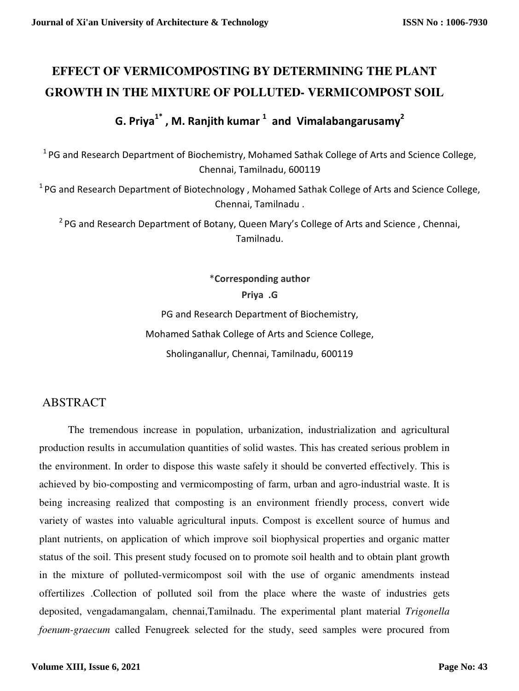# **EFFECT OF VERMICOMPOSTING BY DETERMINING THE PLANT GROWTH IN THE MIXTURE OF POLLUTED- VERMICOMPOST SOIL**

**G. Priya1\* , M. Ranjith kumar <sup>1</sup> and Vimalabangarusamy<sup>2</sup>**

<sup>1</sup> PG and Research Department of Biochemistry, Mohamed Sathak College of Arts and Science College, Chennai, Tamilnadu, 600119

 $1$ PG and Research Department of Biotechnology, Mohamed Sathak College of Arts and Science College, Chennai, Tamilnadu .

<sup>2</sup> PG and Research Department of Botany, Queen Mary's College of Arts and Science, Chennai, Tamilnadu.

\***Corresponding author** 

**Priya .G**

PG and Research Department of Biochemistry, Mohamed Sathak College of Arts and Science College,

Sholinganallur, Chennai, Tamilnadu, 600119

## ABSTRACT

The tremendous increase in population, urbanization, industrialization and agricultural production results in accumulation quantities of solid wastes. This has created serious problem in the environment. In order to dispose this waste safely it should be converted effectively. This is achieved by bio-composting and vermicomposting of farm, urban and agro-industrial waste. It is being increasing realized that composting is an environment friendly process, convert wide variety of wastes into valuable agricultural inputs. Compost is excellent source of humus and plant nutrients, on application of which improve soil biophysical properties and organic matter status of the soil. This present study focused on to promote soil health and to obtain plant growth in the mixture of polluted-vermicompost soil with the use of organic amendments instead offertilizes .Collection of polluted soil from the place where the waste of industries gets deposited, vengadamangalam, chennai,Tamilnadu. The experimental plant material *Trigonella foenum-graecum* called Fenugreek selected for the study, seed samples were procured from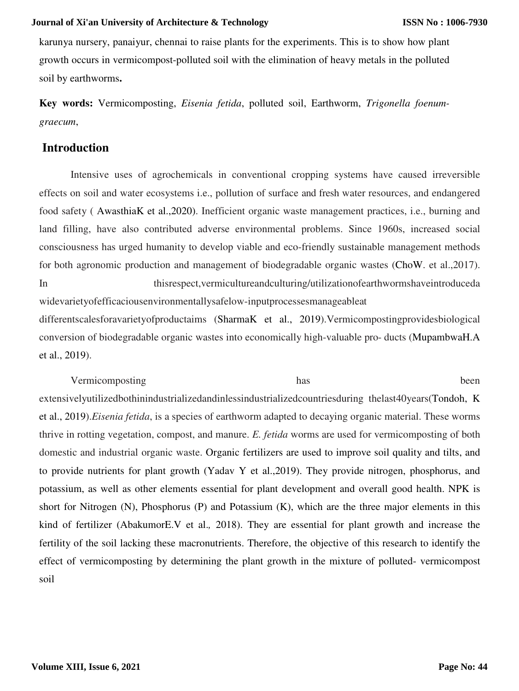karunya nursery, panaiyur, chennai to raise plants for the experiments. This is to show how plant growth occurs in vermicompost-polluted soil with the elimination of heavy metals in the polluted soil by earthworms**.** 

**Key words:** Vermicomposting, *Eisenia fetida*, polluted soil, Earthworm, *Trigonella foenumgraecum*,

### **Introduction**

Intensive uses of agrochemicals in conventional cropping systems have caused irreversible effects on soil and water ecosystems i.e., pollution of surface and fresh water resources, and endangered food safety ( AwasthiaK et al.,2020). Inefficient organic waste management practices, i.e., burning and land filling, have also contributed adverse environmental problems. Since 1960s, increased social consciousness has urged humanity to develop viable and eco-friendly sustainable management methods for both agronomic production and management of biodegradable organic wastes (ChoW. et al.,2017). In thisrespect,vermicultureandculturing/utilizationofearthwormshaveintroduceda widevarietyofefficaciousenvironmentallysafelow-inputprocessesmanageableat differentscalesforavarietyofproductaims (SharmaK et al., 2019).Vermicompostingprovidesbiological conversion of biodegradable organic wastes into economically high-valuable pro- ducts (MupambwaH.A et al., 2019).

Vermicomposting has been

extensivelyutilizedbothinindustrializedandinlessindustrializedcountriesduring thelast40years(Tondoh, K et al., 2019).*Eisenia fetida*, is a species of earthworm adapted to decaying organic material. These worms thrive in rotting vegetation, compost, and manure. *E. fetida* worms are used for vermicomposting of both domestic and industrial organic waste. Organic fertilizers are used to improve soil quality and tilts, and to provide nutrients for plant growth (Yadav Y et al.,2019). They provide nitrogen, phosphorus, and potassium, as well as other elements essential for plant development and overall good health. NPK is short for Nitrogen (N), Phosphorus (P) and Potassium (K), which are the three major elements in this kind of fertilizer (AbakumorE.V et al.*,* 2018). They are essential for plant growth and increase the fertility of the soil lacking these macronutrients. Therefore, the objective of this research to identify the effect of vermicomposting by determining the plant growth in the mixture of polluted- vermicompost soil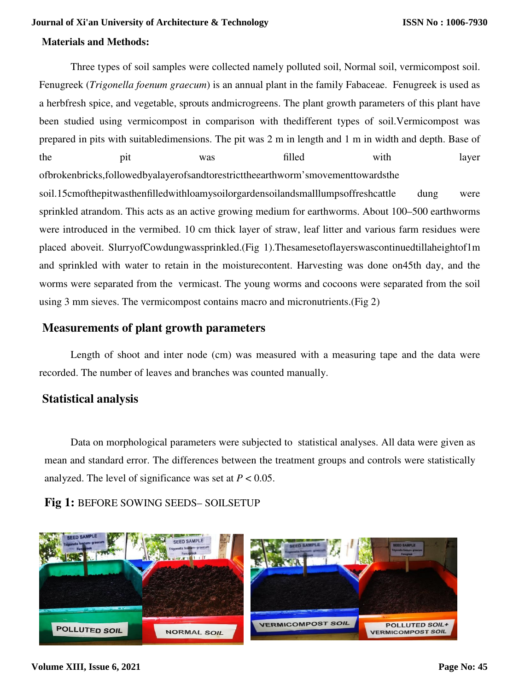### **Materials and Methods:**

Three types of soil samples were collected namely polluted soil, Normal soil, vermicompost soil. Fenugreek (*Trigonella foenum graecum*) is an annual plant in the family Fabaceae. Fenugreek is used as a herbfresh spice, and vegetable, sprouts andmicrogreens. The plant growth parameters of this plant have been studied using vermicompost in comparison with thedifferent types of soil.Vermicompost was prepared in pits with suitabledimensions. The pit was 2 m in length and 1 m in width and depth. Base of the pit was filled with layer ofbrokenbricks,followedbyalayerofsandtorestricttheearthworm'smovementtowardsthe soil.15cmofthepitwasthenfilledwithloamysoilorgardensoilandsmalllumpsoffreshcattle dung were

sprinkled atrandom. This acts as an active growing medium for earthworms. About 100–500 earthworms were introduced in the vermibed. 10 cm thick layer of straw, leaf litter and various farm residues were placed aboveit. SlurryofCowdungwassprinkled.(Fig 1).Thesamesetoflayerswascontinuedtillaheightof1m and sprinkled with water to retain in the moisturecontent. Harvesting was done on45th day, and the worms were separated from the vermicast. The young worms and cocoons were separated from the soil using 3 mm sieves. The vermicompost contains macro and micronutrients.(Fig 2)

### **Measurements of plant growth parameters**

Length of shoot and inter node (cm) was measured with a measuring tape and the data were recorded. The number of leaves and branches was counted manually.

### **Statistical analysis**

Data on morphological parameters were subjected to statistical analyses. All data were given as mean and standard error. The differences between the treatment groups and controls were statistically analyzed. The level of significance was set at  $P < 0.05$ .

### **Fig 1:** BEFORE SOWING SEEDS– SOILSETUP



#### **Volume XIII, Issue 6, 2021**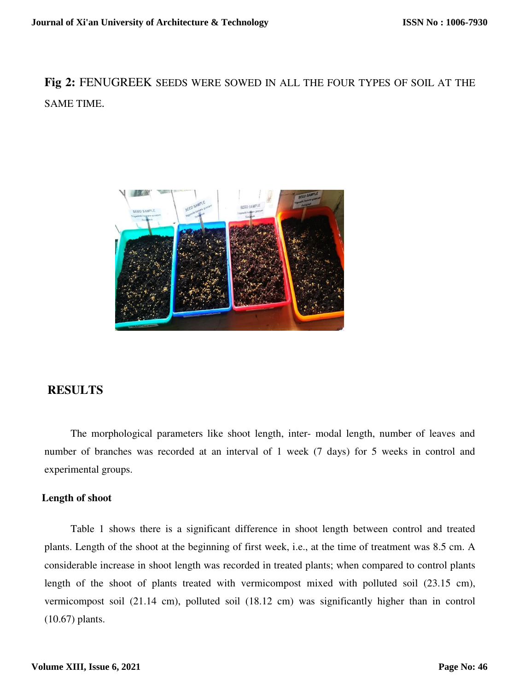**Fig 2:** FENUGREEK SEEDS WERE SOWED IN ALL THE FOUR TYPES OF SOIL AT THE SAME TIME.



### **RESULTS**

The morphological parameters like shoot length, inter- modal length, number of leaves and number of branches was recorded at an interval of 1 week (7 days) for 5 weeks in control and experimental groups.

#### **Length of shoot**

Table 1 shows there is a significant difference in shoot length between control and treated plants. Length of the shoot at the beginning of first week, i.e., at the time of treatment was 8.5 cm. A considerable increase in shoot length was recorded in treated plants; when compared to control plants length of the shoot of plants treated with vermicompost mixed with polluted soil (23.15 cm), vermicompost soil (21.14 cm), polluted soil (18.12 cm) was significantly higher than in control (10.67) plants.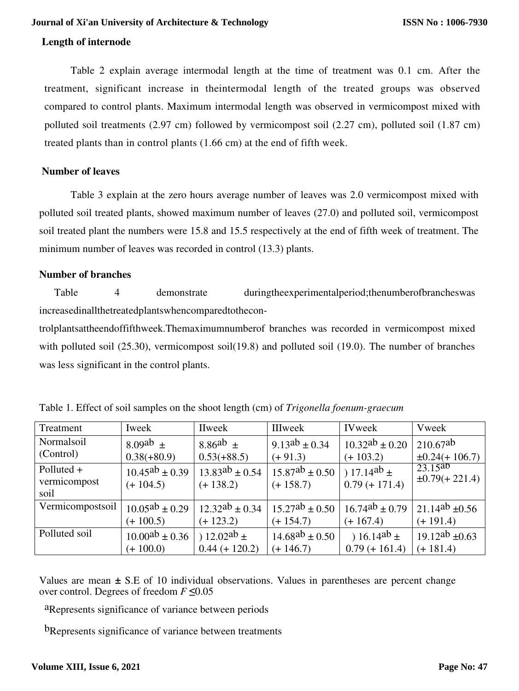### **Length of internode**

Table 2 explain average intermodal length at the time of treatment was 0.1 cm. After the treatment, significant increase in theintermodal length of the treated groups was observed compared to control plants. Maximum intermodal length was observed in vermicompost mixed with polluted soil treatments (2.97 cm) followed by vermicompost soil (2.27 cm), polluted soil (1.87 cm) treated plants than in control plants (1.66 cm) at the end of fifth week.

### **Number of leaves**

Table 3 explain at the zero hours average number of leaves was 2.0 vermicompost mixed with polluted soil treated plants, showed maximum number of leaves (27.0) and polluted soil, vermicompost soil treated plant the numbers were 15.8 and 15.5 respectively at the end of fifth week of treatment. The minimum number of leaves was recorded in control (13.3) plants.

### **Number of branches**

Table 4 demonstrate duringtheexperimentalperiod;thenumberofbrancheswas increasedinallthetreatedplantswhencomparedtothecon-

trolplantsattheendoffifthweek.Themaximumnumberof branches was recorded in vermicompost mixed with polluted soil (25.30), vermicompost soil(19.8) and polluted soil (19.0). The number of branches was less significant in the control plants.

| Treatment                          | Iweek                                | <b>IIweek</b>                        | IIIweek                              | <b>IVweek</b>                       | Vweek                                           |
|------------------------------------|--------------------------------------|--------------------------------------|--------------------------------------|-------------------------------------|-------------------------------------------------|
| Normalsoil                         | $8.09ab +$                           | $8.86^{ab}$ $\pm$                    | $9.13^{ab} \pm 0.34$                 | $10.32^{ab} \pm 0.20$               | $210.67^{ab}$                                   |
| (Control)                          | $0.38(+80.9)$                        | $0.53(+88.5)$                        | $(+91.3)$                            | $(+ 103.2)$                         | $\pm 0.24 (+ 106.7)$                            |
| Polluted +<br>vermicompost<br>soil | $10.45^{ab} \pm 0.39$<br>$(+ 104.5)$ | $13.83^{ab} \pm 0.54$<br>$(+ 138.2)$ | $15.87^{ab} \pm 0.50$<br>$(+ 158.7)$ | ) 17.14ab $\pm$<br>$0.79 (+ 171.4)$ | $\overline{23.15^{ab}}$<br>$\pm 0.79 (+ 221.4)$ |
| Vermicompostsoil                   | $10.05^{ab} \pm 0.29$                | $12.32^{ab} \pm 0.34$                | $15.27^{ab} \pm 0.50$                | $16.74^{ab} \pm 0.79$               | 21.14 <sup>ab</sup> $\pm 0.56$                  |
|                                    | $(+ 100.5)$                          | $(+ 123.2)$                          | $(+ 154.7)$                          | $(+ 167.4)$                         | $(+ 191.4)$                                     |
| Polluted soil                      | $10.00^{ab} \pm 0.36$                | $(12.02^{ab} \pm )$                  | $14.68^{ab} \pm 0.50$                | ) 16.14 <sup>ab</sup> $\pm$         | $19.12^{ab} \pm 0.63$                           |
|                                    | $(+ 100.0)$                          | $0.44 (+ 120.2)$                     | $(+ 146.7)$                          | $0.79 (+ 161.4)$                    | $(+ 181.4)$                                     |

Table 1. Effect of soil samples on the shoot length (cm) of *Trigonella foenum-graecum*

Values are mean **±** S.E of 10 individual observations. Values in parentheses are percent change over control. Degrees of freedom *F* **≤**0.05

aRepresents significance of variance between periods

b<sub>Represents</sub> significance of variance between treatments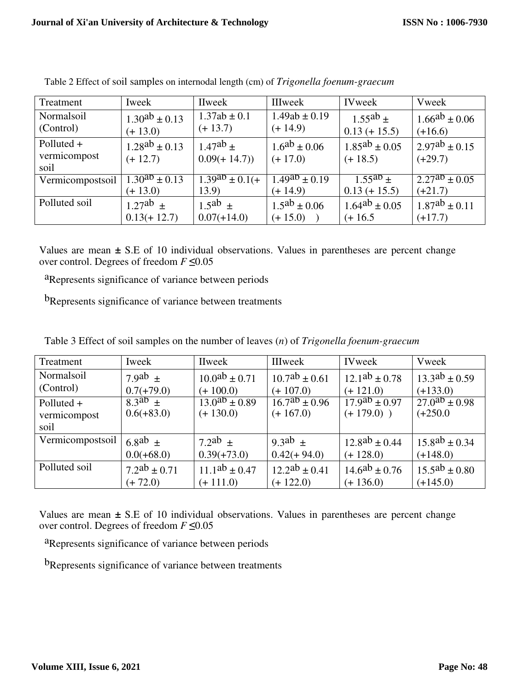| Treatment        | Iweek                          | <b>IIweek</b>            | <b>IIIweek</b>       | <b>IVweek</b>        | Vweek                       |
|------------------|--------------------------------|--------------------------|----------------------|----------------------|-----------------------------|
| Normalsoil       | $1.30^{ab} \pm 0.13$           | $1.37ab \pm 0.1$         | $1.49ab \pm 0.19$    | $1.55^{ab}$ ±        | $1.66^{ab} \pm 0.06$        |
| (Control)        | $(+ 13.0)$                     | $(+ 13.7)$               | $(+ 14.9)$           | $0.13 (+ 15.5)$      | $(+16.6)$                   |
| Polluted +       | $1.28^{ab} \pm 0.13$           | $1.47^{ab}$ ±            | $1.6^{ab} \pm 0.06$  | $1.85^{ab} \pm 0.05$ | $2.97^{ab} \pm 0.15$        |
| vermicompost     | $(+ 12.7)$                     | $0.09(+14.7))$           | $(+ 17.0)$           | $(+ 18.5)$           | $(+29.7)$                   |
| soil             |                                |                          |                      |                      |                             |
| Vermicompostsoil | $\frac{1.30^{ab} \pm 0.13}{2}$ | $\frac{1.39}{4}$ + 0.1(+ | $1.49^{ab} \pm 0.19$ | $1.55^{ab}$ ±        | $\sqrt{2.27^{ab} \pm 0.05}$ |
|                  | $(+ 13.0)$                     | 13.9)                    | $(+ 14.9)$           | $0.13 (+ 15.5)$      | $(+21.7)$                   |
| Polluted soil    | $1.27^{ab}$ $\pm$              | $1.5^{ab}$ $\pm$         | $1.5^{ab} \pm 0.06$  | $1.64^{ab} \pm 0.05$ | $1.87^{ab} \pm 0.11$        |
|                  | $0.13(+12.7)$                  | $0.07(+14.0)$            | $(+ 15.0)$           | $(+ 16.5)$           | $(+17.7)$                   |

Table 2 Effect of soil samples on internodal length (cm) of *Trigonella foenum-graecum*

Values are mean **±** S.E of 10 individual observations. Values in parentheses are percent change over control. Degrees of freedom *F* **≤**0.05

aRepresents significance of variance between periods

b<sub>Represents</sub> significance of variance between treatments

| Treatment        | Iweek               | <b>IIweek</b>                      | <b>IIIweek</b>       | <b>IVweek</b>        | Vweek                |
|------------------|---------------------|------------------------------------|----------------------|----------------------|----------------------|
| Normalsoil       | $7.9ab +$           | $10.0^{ab} \pm 0.71$               | $10.7^{ab} \pm 0.61$ | $12.1^{ab} \pm 0.78$ | $13.3^{ab} \pm 0.59$ |
| (Control)        | $0.7(+79.0)$        | $(+ 100.0)$                        | $(+ 107.0)$          | $(+ 121.0)$          | $(+133.0)$           |
| Polluted +       | $8.3^{ab}$ $\pm$    | $\sqrt{13.0}$ <sup>ab</sup> ± 0.89 | $16.7^{ab} \pm 0.96$ | $17.9^{ab} \pm 0.97$ | $27.0^{ab} \pm 0.98$ |
| vermicompost     | $0.6(+83.0)$        | $(+ 130.0)$                        | $(+ 167.0)$          | $(+ 179.0)$ )        | $(+250.0)$           |
| soil             |                     |                                    |                      |                      |                      |
| Vermicompostsoil | $6.8ab \pm$         | 7.2ab $\pm$                        | $9.3ab \pm$          | $12.8^{ab} \pm 0.44$ | $15.8^{ab} \pm 0.34$ |
|                  | $0.0(+68.0)$        | $0.39(+73.0)$                      | $0.42(+94.0)$        | $(+ 128.0)$          | $(+148.0)$           |
| Polluted soil    | $7.2^{ab} \pm 0.71$ | $11.1^{ab} \pm 0.47$               | $12.2^{ab} \pm 0.41$ | $14.6^{ab} \pm 0.76$ | $15.5^{ab} \pm 0.80$ |
|                  | $(+ 72.0)$          | $(+ 111.0)$                        | $(+ 122.0)$          | $(+ 136.0)$          | $(+145.0)$           |

Table 3 Effect of soil samples on the number of leaves (*n*) of *Trigonella foenum-graecum*

Values are mean **±** S.E of 10 individual observations. Values in parentheses are percent change over control. Degrees of freedom *F* **≤**0.05

aRepresents significance of variance between periods

b<sub>Represents</sub> significance of variance between treatments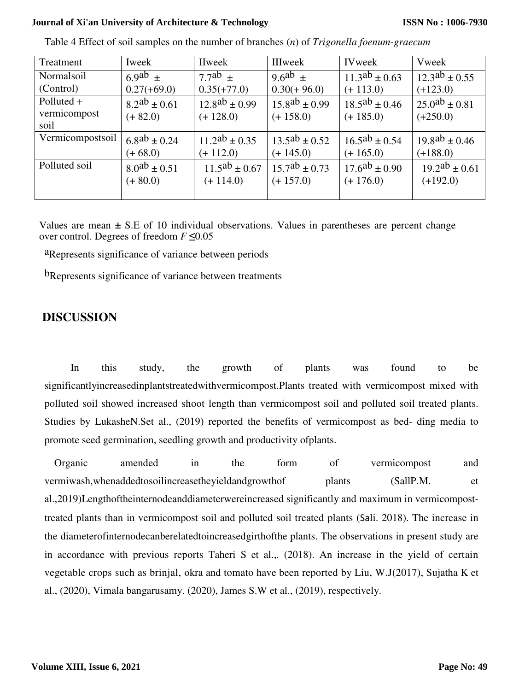| Treatment        | Iweek               | IIweek               | IIIweek              | <b>IVweek</b>        | Vweek                |
|------------------|---------------------|----------------------|----------------------|----------------------|----------------------|
| Normalsoil       | $6.9ab +$           | $7.7ab +$            | $9.6^{ab}$ +         | $11.3^{ab} \pm 0.63$ | $12.3^{ab} \pm 0.55$ |
| (Control)        | $0.27(+69.0)$       | $0.35(+77.0)$        | $0.30(+96.0)$        | $(+ 113.0)$          | $(+123.0)$           |
| Polluted +       | $8.2^{ab} \pm 0.61$ | $12.8^{ab} \pm 0.99$ | $15.8^{ab} \pm 0.99$ | $18.5^{ab} \pm 0.46$ | $25.0^{ab} \pm 0.81$ |
| vermicompost     | $(+ 82.0)$          | $(+ 128.0)$          | $(+ 158.0)$          | $(+ 185.0)$          | $(+250.0)$           |
| soil             |                     |                      |                      |                      |                      |
| Vermicompostsoil | $6.8^{ab} \pm 0.24$ | $11.2^{ab} \pm 0.35$ | $13.5^{ab} \pm 0.52$ | $16.5^{ab} \pm 0.54$ | $19.8^{ab} \pm 0.46$ |
|                  | $(+ 68.0)$          | $(+ 112.0)$          | $(+ 145.0)$          | $(+ 165.0)$          | $(+188.0)$           |
| Polluted soil    | $8.0^{ab} \pm 0.51$ | $11.5^{ab} \pm 0.67$ | $15.7^{ab} \pm 0.73$ | $17.6^{ab} \pm 0.90$ | $19.2^{ab} \pm 0.61$ |
|                  | $(+ 80.0)$          | $(+ 114.0)$          | $(+ 157.0)$          | $(+ 176.0)$          | $(+192.0)$           |
|                  |                     |                      |                      |                      |                      |

Table 4 Effect of soil samples on the number of branches (*n*) of *Trigonella foenum-graecum*

Values are mean **±** S.E of 10 individual observations. Values in parentheses are percent change over control. Degrees of freedom *F* **≤**0.05

aRepresents significance of variance between periods

bRepresents significance of variance between treatments

# **DISCUSSION**

In this study, the growth of plants was found to be significantlyincreasedinplantstreatedwithvermicompost.Plants treated with vermicompost mixed with polluted soil showed increased shoot length than vermicompost soil and polluted soil treated plants. Studies by LukasheN.Set al., (2019) reported the benefits of vermicompost as bed- ding media to promote seed germination, seedling growth and productivity ofplants.

Organic amended in the form of vermicompost and vermiwash,whenaddedtosoilincreasetheyieldandgrowthof plants (SallP.M. et al.,2019)Lengthoftheinternodeanddiameterwereincreased significantly and maximum in vermicomposttreated plants than in vermicompost soil and polluted soil treated plants (Sali. 2018). The increase in the diameterofinternodecanberelatedtoincreasedgirthofthe plants. The observations in present study are in accordance with previous reports Taheri S et al.,*.* (2018). An increase in the yield of certain vegetable crops such as brinjal, okra and tomato have been reported by Liu, W.J(2017), Sujatha K et al., (2020), Vimala bangarusamy. (2020), James S.W et al., (2019), respectively.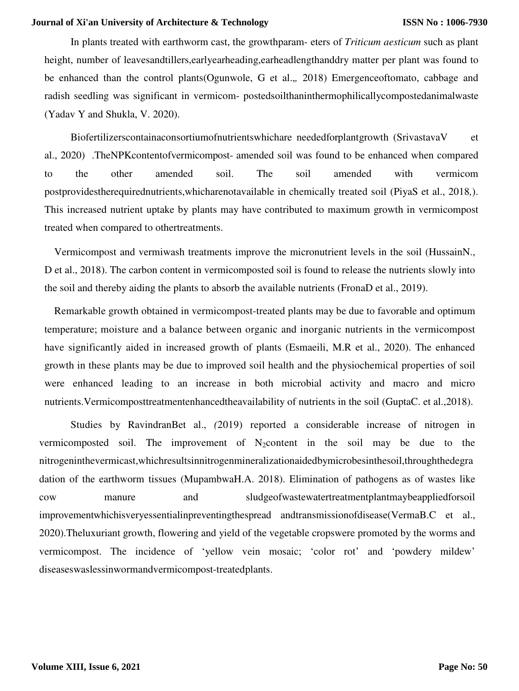In plants treated with earthworm cast, the growthparam- eters of *Triticum aesticum* such as plant height, number of leaves and tillers, early earheading, earheadlengthanddry matter per plant was found to be enhanced than the control plants(Ogunwole, G et al.,*,* 2018) Emergenceoftomato, cabbage and radish seedling was significant in vermicom- postedsoilthaninthermophilicallycompostedanimalwaste (Yadav Y and Shukla, V. 2020).

Biofertilizerscontainaconsortiumofnutrientswhichare neededforplantgrowth (SrivastavaV et al., 2020) .TheNPKcontentofvermicompost- amended soil was found to be enhanced when compared to the other amended soil. The soil amended with vermicom postprovidestherequirednutrients,whicharenotavailable in chemically treated soil (PiyaS et al., 2018*,*). This increased nutrient uptake by plants may have contributed to maximum growth in vermicompost treated when compared to othertreatments.

Vermicompost and vermiwash treatments improve the micronutrient levels in the soil (HussainN., D et al., 2018). The carbon content in vermicomposted soil is found to release the nutrients slowly into the soil and thereby aiding the plants to absorb the available nutrients (FronaD et al., 2019).

Remarkable growth obtained in vermicompost-treated plants may be due to favorable and optimum temperature; moisture and a balance between organic and inorganic nutrients in the vermicompost have significantly aided in increased growth of plants (Esmaeili, M.R et al., 2020). The enhanced growth in these plants may be due to improved soil health and the physiochemical properties of soil were enhanced leading to an increase in both microbial activity and macro and micro nutrients.Vermicomposttreatmentenhancedtheavailability of nutrients in the soil (GuptaC. et al.,2018).

Studies by RavindranBet al., *(*2019) reported a considerable increase of nitrogen in vermicomposted soil. The improvement of  $N_2$ content in the soil may be due to the nitrogeninthevermicast,whichresultsinnitrogenmineralizationaidedbymicrobesinthesoil,throughthedegra dation of the earthworm tissues (MupambwaH.A. 2018). Elimination of pathogens as of wastes like cow manure and sludgeofwastewatertreatmentplantmaybeappliedforsoil improvementwhichisveryessentialinpreventingthespread andtransmissionofdisease(VermaB.C et al., 2020).Theluxuriant growth, flowering and yield of the vegetable cropswere promoted by the worms and vermicompost. The incidence of 'yellow vein mosaic; 'color rot' and 'powdery mildew' diseaseswaslessinwormandvermicompost-treatedplants.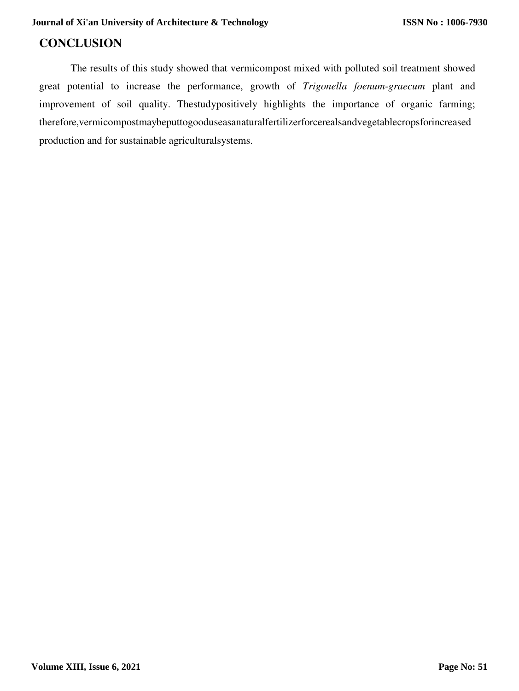# **CONCLUSION**

The results of this study showed that vermicompost mixed with polluted soil treatment showed great potential to increase the performance, growth of *Trigonella foenum-graecum* plant and improvement of soil quality. Thestudypositively highlights the importance of organic farming; therefore,vermicompostmaybeputtogooduseasanaturalfertilizerforcerealsandvegetablecropsforincreased production and for sustainable agriculturalsystems.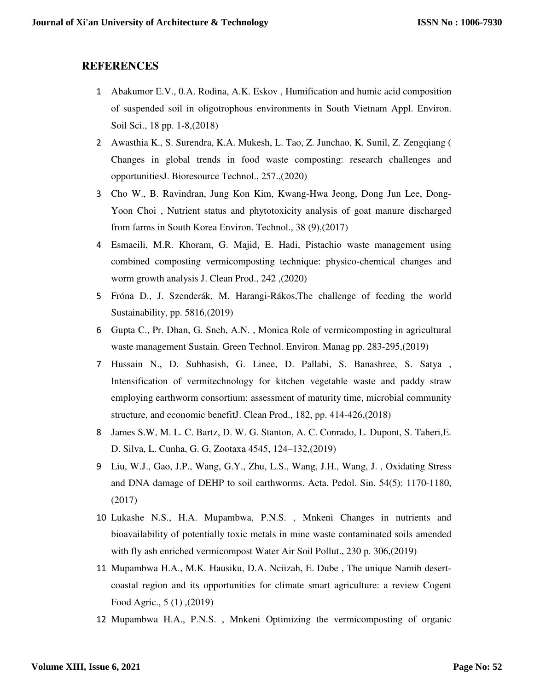### **REFERENCES**

- 1 Abakumor E.V., 0.A. Rodina, A.K. Eskov , Humification and humic acid composition of suspended soil in oligotrophous environments in South Vietnam Appl. Environ. Soil Sci., 18 pp. 1-8,(2018)
- 2 Awasthia K., S. Surendra, K.A. Mukesh, L. Tao, Z. Junchao, K. Sunil, Z. Zengqiang ( Changes in global trends in food waste composting: research challenges and opportunitiesJ. Bioresource Technol., 257.,(2020)
- 3 Cho W., B. Ravindran, Jung Kon Kim, Kwang-Hwa Jeong, Dong Jun Lee, Dong-Yoon Choi , Nutrient status and phytotoxicity analysis of goat manure discharged from farms in South Korea Environ. Technol., 38 (9),(2017)
- 4 Esmaeili, M.R. Khoram, G. Majid, E. Hadi, Pistachio waste management using combined composting vermicomposting technique: physico-chemical changes and worm growth analysis J. Clean Prod., 242 ,(2020)
- 5 Fróna D., J. Szenderák, M. Harangi-Rákos,The challenge of feeding the world Sustainability, pp. 5816,(2019)
- 6 Gupta C., Pr. Dhan, G. Sneh, A.N. , Monica Role of vermicomposting in agricultural waste management Sustain. Green Technol. Environ. Manag pp. 283-295,(2019)
- 7 Hussain N., D. Subhasish, G. Linee, D. Pallabi, S. Banashree, S. Satya , Intensification of vermitechnology for kitchen vegetable waste and paddy straw employing earthworm consortium: assessment of maturity time, microbial community structure, and economic benefitJ. Clean Prod., 182, pp. 414-426,(2018)
- 8 James S.W, M. L. C. Bartz, D. W. G. Stanton, A. C. Conrado, L. Dupont, S. Taheri,E. D. Silva, L. Cunha, G. G, Zootaxa 4545, 124–132,(2019)
- 9 Liu, W.J., Gao, J.P., Wang, G.Y., Zhu, L.S., Wang, J.H., Wang, J. , Oxidating Stress and DNA damage of DEHP to soil earthworms. Acta. Pedol. Sin. 54(5): 1170-1180, (2017)
- 10 Lukashe N.S., H.A. Mupambwa, P.N.S. , Mnkeni Changes in nutrients and bioavailability of potentially toxic metals in mine waste contaminated soils amended with fly ash enriched vermicompost Water Air Soil Pollut., 230 p. 306,(2019)
- 11 Mupambwa H.A., M.K. Hausiku, D.A. Nciizah, E. Dube , The unique Namib desertcoastal region and its opportunities for climate smart agriculture: a review Cogent Food Agric., 5 (1) ,(2019)
- 12 Mupambwa H.A., P.N.S. , Mnkeni Optimizing the vermicomposting of organic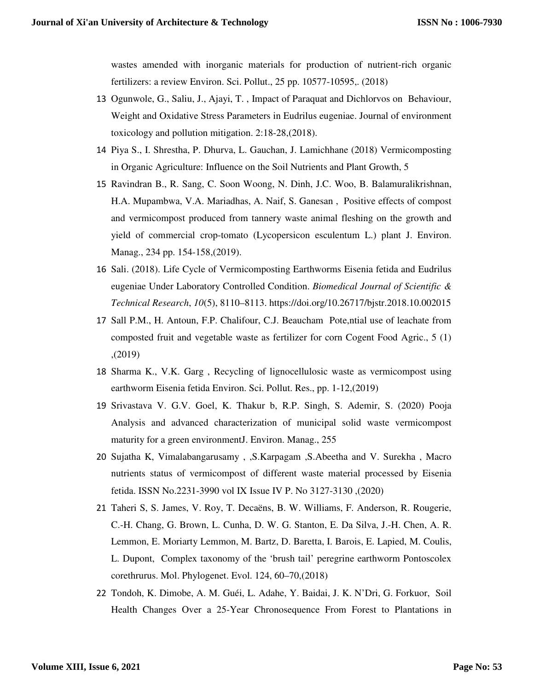wastes amended with inorganic materials for production of nutrient-rich organic fertilizers: a review Environ. Sci. Pollut., 25 pp. 10577-10595,. (2018)

- 13 Ogunwole, G., Saliu, J., Ajayi, T. , Impact of Paraquat and Dichlorvos on Behaviour, Weight and Oxidative Stress Parameters in Eudrilus eugeniae. Journal of environment toxicology and pollution mitigation. 2:18-28,(2018).
- 14 Piya S., I. Shrestha, P. Dhurva, L. Gauchan, J. Lamichhane (2018) Vermicomposting in Organic Agriculture: Influence on the Soil Nutrients and Plant Growth, 5
- 15 Ravindran B., R. Sang, C. Soon Woong, N. Dinh, J.C. Woo, B. Balamuralikrishnan, H.A. Mupambwa, V.A. Mariadhas, A. Naif, S. Ganesan , Positive effects of compost and vermicompost produced from tannery waste animal fleshing on the growth and yield of commercial crop-tomato (Lycopersicon esculentum L.) plant J. Environ. Manag., 234 pp. 154-158,(2019).
- 16 Sali. (2018). Life Cycle of Vermicomposting Earthworms Eisenia fetida and Eudrilus eugeniae Under Laboratory Controlled Condition. *Biomedical Journal of Scientific & Technical Research*, *10*(5), 8110–8113. https://doi.org/10.26717/bjstr.2018.10.002015
- 17 Sall P.M., H. Antoun, F.P. Chalifour, C.J. Beaucham Pote,ntial use of leachate from composted fruit and vegetable waste as fertilizer for corn Cogent Food Agric., 5 (1) ,(2019)
- 18 Sharma K., V.K. Garg , Recycling of lignocellulosic waste as vermicompost using earthworm Eisenia fetida Environ. Sci. Pollut. Res., pp. 1-12,(2019)
- 19 Srivastava V. G.V. Goel, K. Thakur b, R.P. Singh, S. Ademir, S. (2020) Pooja Analysis and advanced characterization of municipal solid waste vermicompost maturity for a green environmentJ. Environ. Manag., 255
- 20 Sujatha K, Vimalabangarusamy , ,S.Karpagam ,S.Abeetha and V. Surekha , Macro nutrients status of vermicompost of different waste material processed by Eisenia fetida. ISSN No.2231-3990 vol IX Issue IV P. No 3127-3130 ,(2020)
- 21 Taheri S, S. James, V. Roy, T. Decaëns, B. W. Williams, F. Anderson, R. Rougerie, C.-H. Chang, G. Brown, L. Cunha, D. W. G. Stanton, E. Da Silva, J.-H. Chen, A. R. Lemmon, E. Moriarty Lemmon, M. Bartz, D. Baretta, I. Barois, E. Lapied, M. Coulis, L. Dupont, Complex taxonomy of the 'brush tail' peregrine earthworm Pontoscolex corethrurus. Mol. Phylogenet. Evol. 124, 60–70,(2018)
- 22 Tondoh, K. Dimobe, A. M. Guéi, L. Adahe, Y. Baidai, J. K. N'Dri, G. Forkuor, Soil Health Changes Over a 25-Year Chronosequence From Forest to Plantations in